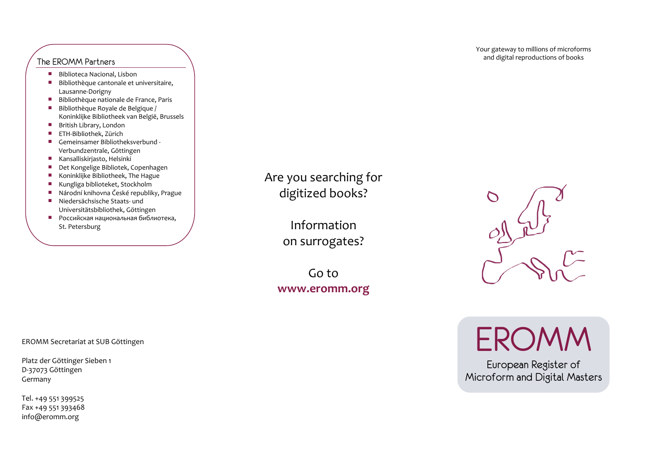- $\mathcal{L}_{\mathcal{A}}$ Biblioteca Nacional, Lisbon
- $\mathcal{L}_{\mathcal{A}}$ Bibliothèque cantonale et universitaire, Lausanne‐Dorigny
- $\mathcal{L}_{\mathcal{A}}$ Bibliothèque nationale de France, Paris
- $\mathcal{L}_{\mathcal{A}}$ Bibliothèque Royale de Belgique / Koninklijke Bibliotheek van België, Brussels
- British Library, London
- $\mathcal{L}_{\mathcal{A}}$ ETH‐Bibliothek, Zürich
- $\mathcal{L}_{\mathcal{A}}$ Gemeinsamer Bibliotheksverbund ‐ Verbundzentrale, Göttingen
- $\mathcal{L}_{\mathcal{A}}$ Kansalliskirjasto, Helsinki
- $\mathcal{L}_{\mathcal{A}}$ Det Kongelige Bibliotek, Copenhagen
- $\mathcal{L}_{\mathcal{A}}$ Koninklijke Bibliotheek, The Hague
- $\mathcal{L}_{\mathcal{A}}$ Kungliga biblioteket, Stockholm
- $\mathcal{L}_{\mathcal{A}}$ Národní knihovna České republiky, Prague
- $\mathcal{L}_{\mathcal{A}}$ Niedersächsische Staats‐ undUniversitätsbibliothek, Göttingen
- Российская национальная библиотека, St. Petersburg

Are you searching for digitized books?

> Informationon surrogates?

Go to **www.eromm.org**



Your gateway to millions of microforms

**EROMM** 

European Register of Microform and Digital Masters

EROMM Secretariat at SUB Göttingen

Platz der Göttinger Sieben <sup>1</sup> D‐37073 Göttingen Germany

Tel. +49 551 399525 Fax +49 551 393468 info@eromm.org